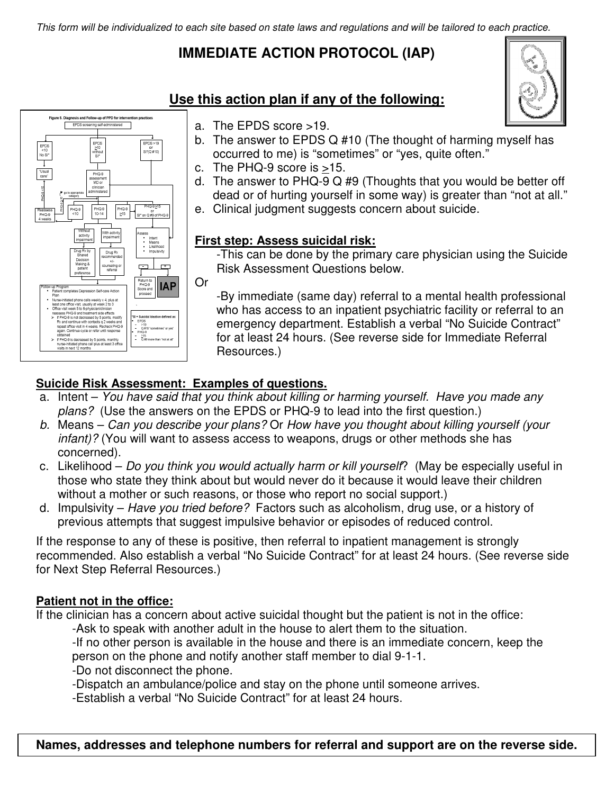This form will be individualized to each site based on state laws and regulations and will be tailored to each practice.

# **IMMEDIATE ACTION PROTOCOL (IAP)**



## **Use this action plan if any of the following:**

- a. The EPDS score >19.
- b. The answer to EPDS Q #10 (The thought of harming myself has occurred to me) is "sometimes" or "yes, quite often."
- c. The PHQ-9 score is >15.
- d. The answer to PHQ-9 Q #9 (Thoughts that you would be better off dead or of hurting yourself in some way) is greater than "not at all."
- e. Clinical judgment suggests concern about suicide.

### **First step: Assess suicidal risk:**

-This can be done by the primary care physician using the Suicide Risk Assessment Questions below.

Or

-By immediate (same day) referral to a mental health professional who has access to an inpatient psychiatric facility or referral to an emergency department. Establish a verbal "No Suicide Contract" for at least 24 hours. (See reverse side for Immediate Referral Resources.)

## **Suicide Risk Assessment: Examples of questions.**

- a. Intent You have said that you think about killing or harming yourself. Have you made any plans? (Use the answers on the EPDS or PHQ-9 to lead into the first question.)
- b. Means Can you describe your plans? Or How have you thought about killing yourself (your infant)? (You will want to assess access to weapons, drugs or other methods she has concerned).
- c. Likelihood Do you think you would actually harm or kill yourself? (May be especially useful in those who state they think about but would never do it because it would leave their children without a mother or such reasons, or those who report no social support.)
- d. Impulsivity Have you tried before? Factors such as alcoholism, drug use, or a history of previous attempts that suggest impulsive behavior or episodes of reduced control.

If the response to any of these is positive, then referral to inpatient management is strongly recommended. Also establish a verbal "No Suicide Contract" for at least 24 hours. (See reverse side for Next Step Referral Resources.)

### **Patient not in the office:**

If the clinician has a concern about active suicidal thought but the patient is not in the office:

-Ask to speak with another adult in the house to alert them to the situation.

-If no other person is available in the house and there is an immediate concern, keep the person on the phone and notify another staff member to dial 9-1-1.

- -Do not disconnect the phone.
- -Dispatch an ambulance/police and stay on the phone until someone arrives.

-Establish a verbal "No Suicide Contract" for at least 24 hours.